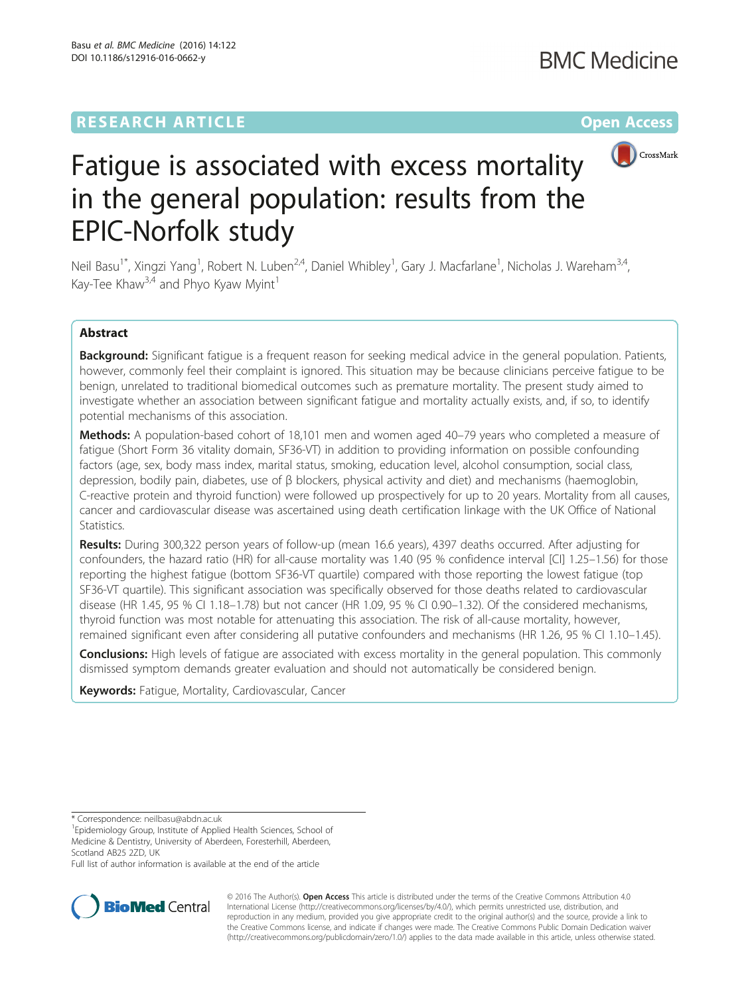## **RESEARCH ARTICLE Example 2014 12:30 The Community Community Community Community Community Community Community**



# Fatigue is associated with excess mortality in the general population: results from the EPIC-Norfolk study

Neil Basu<sup>1\*</sup>, Xingzi Yang<sup>1</sup>, Robert N. Luben<sup>2,4</sup>, Daniel Whibley<sup>1</sup>, Gary J. Macfarlane<sup>1</sup>, Nicholas J. Wareham<sup>3,4</sup>, Kay-Tee Khaw<sup>3,4</sup> and Phyo Kyaw Myint<sup>1</sup>

### Abstract

Background: Significant fatigue is a frequent reason for seeking medical advice in the general population. Patients, however, commonly feel their complaint is ignored. This situation may be because clinicians perceive fatigue to be benign, unrelated to traditional biomedical outcomes such as premature mortality. The present study aimed to investigate whether an association between significant fatigue and mortality actually exists, and, if so, to identify potential mechanisms of this association.

Methods: A population-based cohort of 18,101 men and women aged 40-79 years who completed a measure of fatigue (Short Form 36 vitality domain, SF36-VT) in addition to providing information on possible confounding factors (age, sex, body mass index, marital status, smoking, education level, alcohol consumption, social class, depression, bodily pain, diabetes, use of β blockers, physical activity and diet) and mechanisms (haemoglobin, C-reactive protein and thyroid function) were followed up prospectively for up to 20 years. Mortality from all causes, cancer and cardiovascular disease was ascertained using death certification linkage with the UK Office of National Statistics.

Results: During 300,322 person years of follow-up (mean 16.6 years), 4397 deaths occurred. After adjusting for confounders, the hazard ratio (HR) for all-cause mortality was 1.40 (95 % confidence interval [CI] 1.25–1.56) for those reporting the highest fatigue (bottom SF36-VT quartile) compared with those reporting the lowest fatigue (top SF36-VT quartile). This significant association was specifically observed for those deaths related to cardiovascular disease (HR 1.45, 95 % CI 1.18–1.78) but not cancer (HR 1.09, 95 % CI 0.90–1.32). Of the considered mechanisms, thyroid function was most notable for attenuating this association. The risk of all-cause mortality, however, remained significant even after considering all putative confounders and mechanisms (HR 1.26, 95 % CI 1.10–1.45).

**Conclusions:** High levels of fatigue are associated with excess mortality in the general population. This commonly dismissed symptom demands greater evaluation and should not automatically be considered benign.

**Keywords:** Fatigue, Mortality, Cardiovascular, Cancer

\* Correspondence: [neilbasu@abdn.ac.uk](mailto:neilbasu@abdn.ac.uk) <sup>1</sup>

<sup>1</sup> Epidemiology Group, Institute of Applied Health Sciences, School of Medicine & Dentistry, University of Aberdeen, Foresterhill, Aberdeen,

Scotland AB25 2ZD, UK

Full list of author information is available at the end of the article



© 2016 The Author(s). Open Access This article is distributed under the terms of the Creative Commons Attribution 4.0 International License [\(http://creativecommons.org/licenses/by/4.0/](http://creativecommons.org/licenses/by/4.0/)), which permits unrestricted use, distribution, and reproduction in any medium, provided you give appropriate credit to the original author(s) and the source, provide a link to the Creative Commons license, and indicate if changes were made. The Creative Commons Public Domain Dedication waiver [\(http://creativecommons.org/publicdomain/zero/1.0/](http://creativecommons.org/publicdomain/zero/1.0/)) applies to the data made available in this article, unless otherwise stated.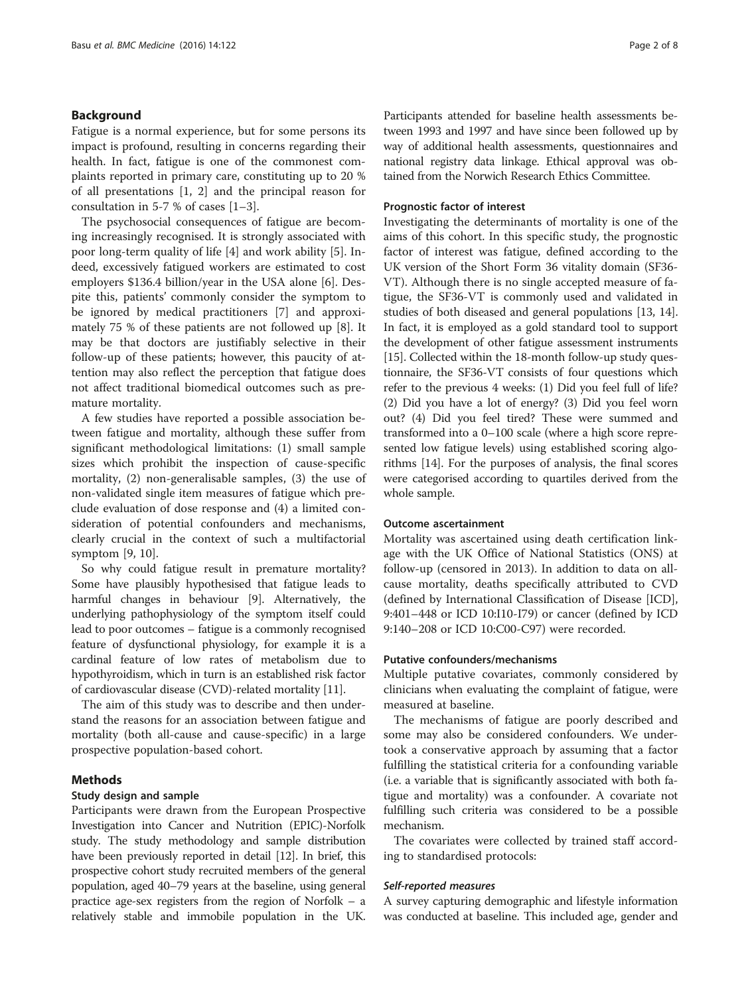#### Background

Fatigue is a normal experience, but for some persons its impact is profound, resulting in concerns regarding their health. In fact, fatigue is one of the commonest complaints reported in primary care, constituting up to 20 % of all presentations [[1](#page-7-0), [2](#page-7-0)] and the principal reason for consultation in 5-7 % of cases  $[1-3]$  $[1-3]$  $[1-3]$ .

The psychosocial consequences of fatigue are becoming increasingly recognised. It is strongly associated with poor long-term quality of life [\[4\]](#page-7-0) and work ability [\[5](#page-7-0)]. Indeed, excessively fatigued workers are estimated to cost employers \$136.4 billion/year in the USA alone [\[6](#page-7-0)]. Despite this, patients' commonly consider the symptom to be ignored by medical practitioners [[7](#page-7-0)] and approximately 75 % of these patients are not followed up [\[8](#page-7-0)]. It may be that doctors are justifiably selective in their follow-up of these patients; however, this paucity of attention may also reflect the perception that fatigue does not affect traditional biomedical outcomes such as premature mortality.

A few studies have reported a possible association between fatigue and mortality, although these suffer from significant methodological limitations: (1) small sample sizes which prohibit the inspection of cause-specific mortality, (2) non-generalisable samples, (3) the use of non-validated single item measures of fatigue which preclude evaluation of dose response and (4) a limited consideration of potential confounders and mechanisms, clearly crucial in the context of such a multifactorial symptom [[9, 10\]](#page-7-0).

So why could fatigue result in premature mortality? Some have plausibly hypothesised that fatigue leads to harmful changes in behaviour [\[9\]](#page-7-0). Alternatively, the underlying pathophysiology of the symptom itself could lead to poor outcomes – fatigue is a commonly recognised feature of dysfunctional physiology, for example it is a cardinal feature of low rates of metabolism due to hypothyroidism, which in turn is an established risk factor of cardiovascular disease (CVD)-related mortality [[11\]](#page-7-0).

The aim of this study was to describe and then understand the reasons for an association between fatigue and mortality (both all-cause and cause-specific) in a large prospective population-based cohort.

#### Methods

#### Study design and sample

Participants were drawn from the European Prospective Investigation into Cancer and Nutrition (EPIC)-Norfolk study. The study methodology and sample distribution have been previously reported in detail [\[12](#page-7-0)]. In brief, this prospective cohort study recruited members of the general population, aged 40–79 years at the baseline, using general practice age-sex registers from the region of Norfolk – a relatively stable and immobile population in the UK. Participants attended for baseline health assessments between 1993 and 1997 and have since been followed up by way of additional health assessments, questionnaires and national registry data linkage. Ethical approval was obtained from the Norwich Research Ethics Committee.

#### Prognostic factor of interest

Investigating the determinants of mortality is one of the aims of this cohort. In this specific study, the prognostic factor of interest was fatigue, defined according to the UK version of the Short Form 36 vitality domain (SF36- VT). Although there is no single accepted measure of fatigue, the SF36-VT is commonly used and validated in studies of both diseased and general populations [[13](#page-7-0), [14](#page-7-0)]. In fact, it is employed as a gold standard tool to support the development of other fatigue assessment instruments [[15](#page-7-0)]. Collected within the 18-month follow-up study questionnaire, the SF36-VT consists of four questions which refer to the previous 4 weeks: (1) Did you feel full of life? (2) Did you have a lot of energy? (3) Did you feel worn out? (4) Did you feel tired? These were summed and transformed into a 0–100 scale (where a high score represented low fatigue levels) using established scoring algorithms [[14](#page-7-0)]. For the purposes of analysis, the final scores were categorised according to quartiles derived from the whole sample.

#### Outcome ascertainment

Mortality was ascertained using death certification linkage with the UK Office of National Statistics (ONS) at follow-up (censored in 2013). In addition to data on allcause mortality, deaths specifically attributed to CVD (defined by International Classification of Disease [ICD], 9:401–448 or ICD 10:I10-I79) or cancer (defined by ICD 9:140–208 or ICD 10:C00-C97) were recorded.

#### Putative confounders/mechanisms

Multiple putative covariates, commonly considered by clinicians when evaluating the complaint of fatigue, were measured at baseline.

The mechanisms of fatigue are poorly described and some may also be considered confounders. We undertook a conservative approach by assuming that a factor fulfilling the statistical criteria for a confounding variable (i.e. a variable that is significantly associated with both fatigue and mortality) was a confounder. A covariate not fulfilling such criteria was considered to be a possible mechanism.

The covariates were collected by trained staff according to standardised protocols:

#### Self-reported measures

A survey capturing demographic and lifestyle information was conducted at baseline. This included age, gender and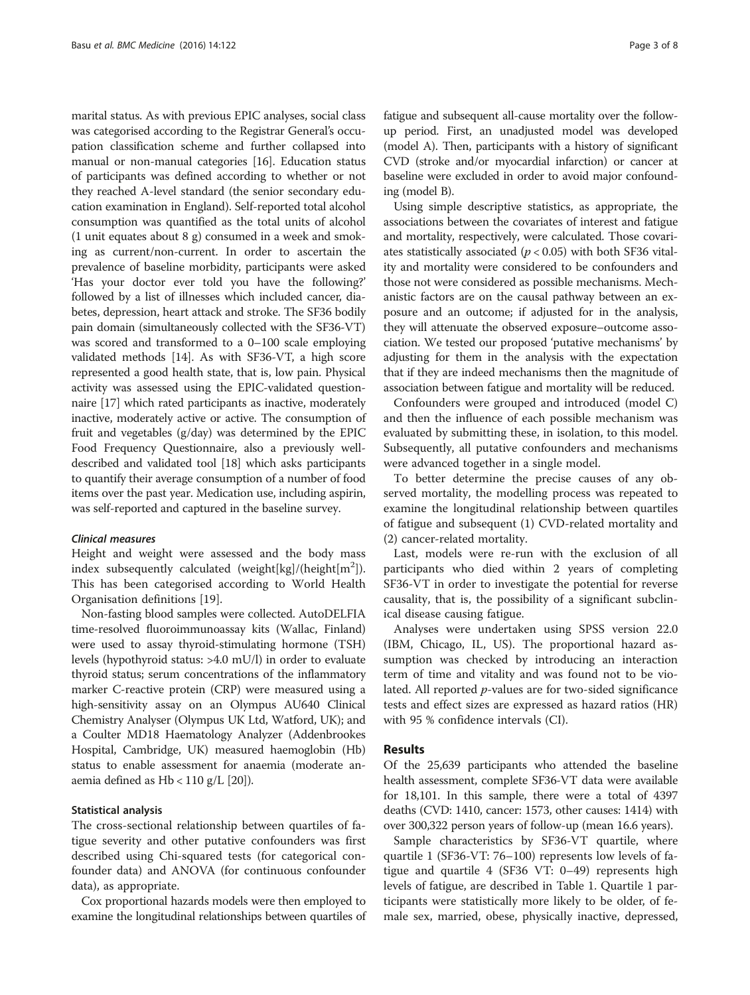marital status. As with previous EPIC analyses, social class was categorised according to the Registrar General's occupation classification scheme and further collapsed into manual or non-manual categories [[16](#page-7-0)]. Education status of participants was defined according to whether or not they reached A-level standard (the senior secondary education examination in England). Self-reported total alcohol consumption was quantified as the total units of alcohol (1 unit equates about 8 g) consumed in a week and smoking as current/non-current. In order to ascertain the prevalence of baseline morbidity, participants were asked 'Has your doctor ever told you have the following?' followed by a list of illnesses which included cancer, diabetes, depression, heart attack and stroke. The SF36 bodily pain domain (simultaneously collected with the SF36-VT) was scored and transformed to a 0–100 scale employing validated methods [\[14\]](#page-7-0). As with SF36-VT, a high score represented a good health state, that is, low pain. Physical activity was assessed using the EPIC-validated questionnaire [[17](#page-7-0)] which rated participants as inactive, moderately inactive, moderately active or active. The consumption of fruit and vegetables (g/day) was determined by the EPIC Food Frequency Questionnaire, also a previously welldescribed and validated tool [[18](#page-7-0)] which asks participants to quantify their average consumption of a number of food items over the past year. Medication use, including aspirin, was self-reported and captured in the baseline survey.

#### Clinical measures

Height and weight were assessed and the body mass index subsequently calculated (weight[kg]/(height[m<sup>2</sup>]). This has been categorised according to World Health Organisation definitions [[19](#page-7-0)].

Non-fasting blood samples were collected. AutoDELFIA time-resolved fluoroimmunoassay kits (Wallac, Finland) were used to assay thyroid-stimulating hormone (TSH) levels (hypothyroid status: >4.0 mU/l) in order to evaluate thyroid status; serum concentrations of the inflammatory marker C-reactive protein (CRP) were measured using a high-sensitivity assay on an Olympus AU640 Clinical Chemistry Analyser (Olympus UK Ltd, Watford, UK); and a Coulter MD18 Haematology Analyzer (Addenbrookes Hospital, Cambridge, UK) measured haemoglobin (Hb) status to enable assessment for anaemia (moderate anaemia defined as Hb < 110 g/L [[20](#page-7-0)]).

#### Statistical analysis

The cross-sectional relationship between quartiles of fatigue severity and other putative confounders was first described using Chi-squared tests (for categorical confounder data) and ANOVA (for continuous confounder data), as appropriate.

Cox proportional hazards models were then employed to examine the longitudinal relationships between quartiles of fatigue and subsequent all-cause mortality over the followup period. First, an unadjusted model was developed (model A). Then, participants with a history of significant CVD (stroke and/or myocardial infarction) or cancer at baseline were excluded in order to avoid major confounding (model B).

Using simple descriptive statistics, as appropriate, the associations between the covariates of interest and fatigue and mortality, respectively, were calculated. Those covariates statistically associated ( $p < 0.05$ ) with both SF36 vitality and mortality were considered to be confounders and those not were considered as possible mechanisms. Mechanistic factors are on the causal pathway between an exposure and an outcome; if adjusted for in the analysis, they will attenuate the observed exposure–outcome association. We tested our proposed 'putative mechanisms' by adjusting for them in the analysis with the expectation that if they are indeed mechanisms then the magnitude of association between fatigue and mortality will be reduced.

Confounders were grouped and introduced (model C) and then the influence of each possible mechanism was evaluated by submitting these, in isolation, to this model. Subsequently, all putative confounders and mechanisms were advanced together in a single model.

To better determine the precise causes of any observed mortality, the modelling process was repeated to examine the longitudinal relationship between quartiles of fatigue and subsequent (1) CVD-related mortality and (2) cancer-related mortality.

Last, models were re-run with the exclusion of all participants who died within 2 years of completing SF36-VT in order to investigate the potential for reverse causality, that is, the possibility of a significant subclinical disease causing fatigue.

Analyses were undertaken using SPSS version 22.0 (IBM, Chicago, IL, US). The proportional hazard assumption was checked by introducing an interaction term of time and vitality and was found not to be violated. All reported p-values are for two-sided significance tests and effect sizes are expressed as hazard ratios (HR) with 95 % confidence intervals (CI).

#### Results

Of the 25,639 participants who attended the baseline health assessment, complete SF36-VT data were available for 18,101. In this sample, there were a total of 4397 deaths (CVD: 1410, cancer: 1573, other causes: 1414) with over 300,322 person years of follow-up (mean 16.6 years).

Sample characteristics by SF36-VT quartile, where quartile 1 (SF36-VT: 76–100) represents low levels of fatigue and quartile 4 (SF36 VT: 0–49) represents high levels of fatigue, are described in Table [1.](#page-3-0) Quartile 1 participants were statistically more likely to be older, of female sex, married, obese, physically inactive, depressed,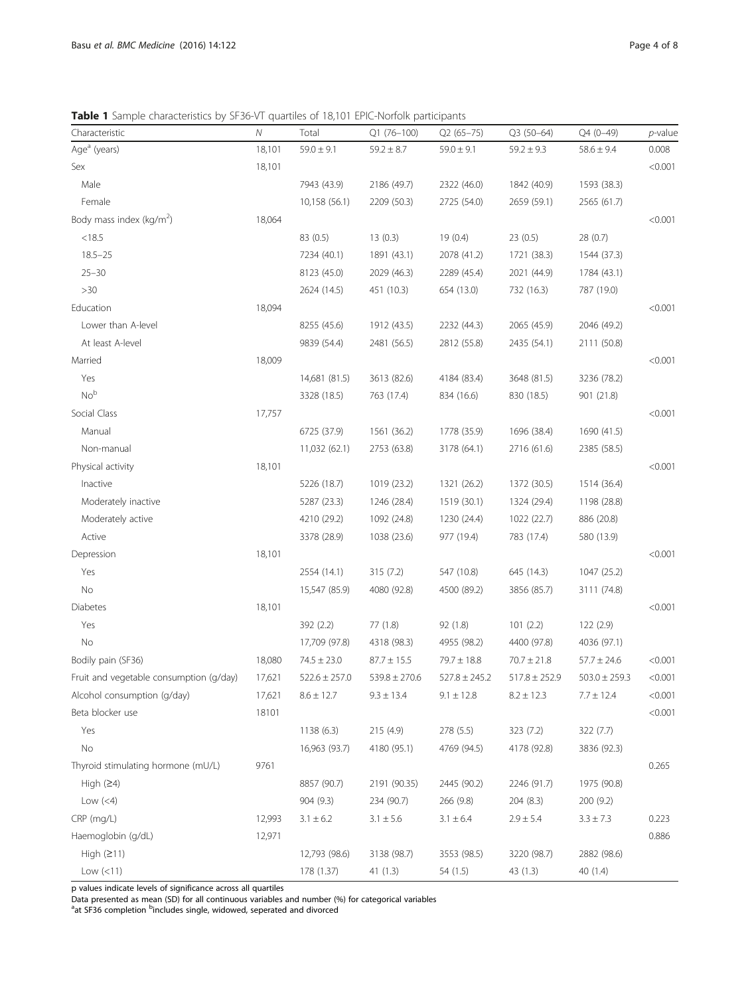<span id="page-3-0"></span>Table 1 Sample characteristics by SF36-VT quartiles of 18,101 EPIC-Norfolk participants

| Characteristic                          | Ν      | Total             | Q1 (76-100)       | $Q2(65 - 75)$     | $Q3(50-64)$       | Q4 (0-49)         | $p$ -value |
|-----------------------------------------|--------|-------------------|-------------------|-------------------|-------------------|-------------------|------------|
| Age <sup>a</sup> (years)                | 18,101 | $59.0 \pm 9.1$    | $59.2 \pm 8.7$    | $59.0 \pm 9.1$    | $59.2 \pm 9.3$    | $58.6 \pm 9.4$    | 0.008      |
| Sex                                     | 18,101 |                   |                   |                   |                   |                   | < 0.001    |
| Male                                    |        | 7943 (43.9)       | 2186 (49.7)       | 2322 (46.0)       | 1842 (40.9)       | 1593 (38.3)       |            |
| Female                                  |        | 10,158 (56.1)     | 2209 (50.3)       | 2725 (54.0)       | 2659 (59.1)       | 2565 (61.7)       |            |
| Body mass index (kg/m <sup>2</sup> )    | 18,064 |                   |                   |                   |                   |                   | < 0.001    |
| < 18.5                                  |        | 83 (0.5)          | 13(0.3)           | 19(0.4)           | 23(0.5)           | 28 (0.7)          |            |
| $18.5 - 25$                             |        | 7234 (40.1)       | 1891 (43.1)       | 2078 (41.2)       | 1721 (38.3)       | 1544 (37.3)       |            |
| $25 - 30$                               |        | 8123 (45.0)       | 2029 (46.3)       | 2289 (45.4)       | 2021 (44.9)       | 1784 (43.1)       |            |
| >30                                     |        | 2624 (14.5)       | 451 (10.3)        | 654 (13.0)        | 732 (16.3)        | 787 (19.0)        |            |
| Education                               | 18,094 |                   |                   |                   |                   |                   | < 0.001    |
| Lower than A-level                      |        | 8255 (45.6)       | 1912 (43.5)       | 2232 (44.3)       | 2065 (45.9)       | 2046 (49.2)       |            |
| At least A-level                        |        | 9839 (54.4)       | 2481 (56.5)       | 2812 (55.8)       | 2435 (54.1)       | 2111 (50.8)       |            |
| Married                                 | 18,009 |                   |                   |                   |                   |                   | < 0.001    |
| Yes                                     |        | 14,681 (81.5)     | 3613 (82.6)       | 4184 (83.4)       | 3648 (81.5)       | 3236 (78.2)       |            |
| No <sup>b</sup>                         |        | 3328 (18.5)       | 763 (17.4)        | 834 (16.6)        | 830 (18.5)        | 901 (21.8)        |            |
| Social Class                            | 17,757 |                   |                   |                   |                   |                   | < 0.001    |
| Manual                                  |        | 6725 (37.9)       | 1561 (36.2)       | 1778 (35.9)       | 1696 (38.4)       | 1690 (41.5)       |            |
| Non-manual                              |        | 11,032 (62.1)     | 2753 (63.8)       | 3178 (64.1)       | 2716 (61.6)       | 2385 (58.5)       |            |
| Physical activity                       | 18,101 |                   |                   |                   |                   |                   | < 0.001    |
| Inactive                                |        | 5226 (18.7)       | 1019 (23.2)       | 1321 (26.2)       | 1372 (30.5)       | 1514 (36.4)       |            |
| Moderately inactive                     |        | 5287 (23.3)       | 1246 (28.4)       | 1519 (30.1)       | 1324 (29.4)       | 1198 (28.8)       |            |
| Moderately active                       |        | 4210 (29.2)       | 1092 (24.8)       | 1230 (24.4)       | 1022 (22.7)       | 886 (20.8)        |            |
| Active                                  |        | 3378 (28.9)       | 1038 (23.6)       | 977 (19.4)        | 783 (17.4)        | 580 (13.9)        |            |
| Depression                              | 18,101 |                   |                   |                   |                   |                   | < 0.001    |
| Yes                                     |        | 2554 (14.1)       | 315 (7.2)         | 547 (10.8)        | 645 (14.3)        | 1047 (25.2)       |            |
| No                                      |        | 15,547 (85.9)     | 4080 (92.8)       | 4500 (89.2)       | 3856 (85.7)       | 3111 (74.8)       |            |
| Diabetes                                | 18,101 |                   |                   |                   |                   |                   | < 0.001    |
| Yes                                     |        | 392 (2.2)         | 77 (1.8)          | 92 (1.8)          | 101(2.2)          | 122(2.9)          |            |
| No                                      |        | 17,709 (97.8)     | 4318 (98.3)       | 4955 (98.2)       | 4400 (97.8)       | 4036 (97.1)       |            |
| Bodily pain (SF36)                      | 18,080 | $74.5 \pm 23.0$   | $87.7 \pm 15.5$   | $79.7 \pm 18.8$   | $70.7 \pm 21.8$   | $57.7 \pm 24.6$   | < 0.001    |
| Fruit and vegetable consumption (g/day) | 17,621 | $522.6 \pm 257.0$ | $539.8 \pm 270.6$ | $527.8 \pm 245.2$ | $517.8 \pm 252.9$ | $503.0 \pm 259.3$ | < 0.001    |
| Alcohol consumption (g/day)             | 17,621 | $8.6 \pm 12.7$    | $9.3 \pm 13.4$    | $9.1 \pm 12.8$    | $8.2 \pm 12.3$    | $7.7 \pm 12.4$    | < 0.001    |
| Beta blocker use                        | 18101  |                   |                   |                   |                   |                   | < 0.001    |
| Yes                                     |        | 1138 (6.3)        | 215 (4.9)         | 278 (5.5)         | 323 (7.2)         | 322 (7.7)         |            |
| No                                      |        | 16,963 (93.7)     | 4180 (95.1)       | 4769 (94.5)       | 4178 (92.8)       | 3836 (92.3)       |            |
| Thyroid stimulating hormone (mU/L)      | 9761   |                   |                   |                   |                   |                   | 0.265      |
| High $(24)$                             |        | 8857 (90.7)       | 2191 (90.35)      | 2445 (90.2)       | 2246 (91.7)       | 1975 (90.8)       |            |
| Low $(<4)$                              |        | 904 (9.3)         | 234 (90.7)        | 266 (9.8)         | 204(8.3)          | 200 (9.2)         |            |
| $CRP$ (mg/L)                            | 12,993 | $3.1 \pm 6.2$     | $3.1 \pm 5.6$     | $3.1 \pm 6.4$     | $2.9 \pm 5.4$     | $3.3 \pm 7.3$     | 0.223      |
| Haemoglobin (g/dL)                      | 12,971 |                   |                   |                   |                   |                   | 0.886      |
| High $(211)$                            |        | 12,793 (98.6)     | 3138 (98.7)       | 3553 (98.5)       | 3220 (98.7)       | 2882 (98.6)       |            |
| Low $(<11)$                             |        | 178 (1.37)        | 41(1.3)           | 54 (1.5)          | 43 (1.3)          | 40 (1.4)          |            |

p values indicate levels of significance across all quartiles

Data presented as mean (SD) for all continuous variables and number (%) for categorical variables<br><sup>a</sup>at SF36 completion <sup>b</sup>includes single, widowed, seperated and divorced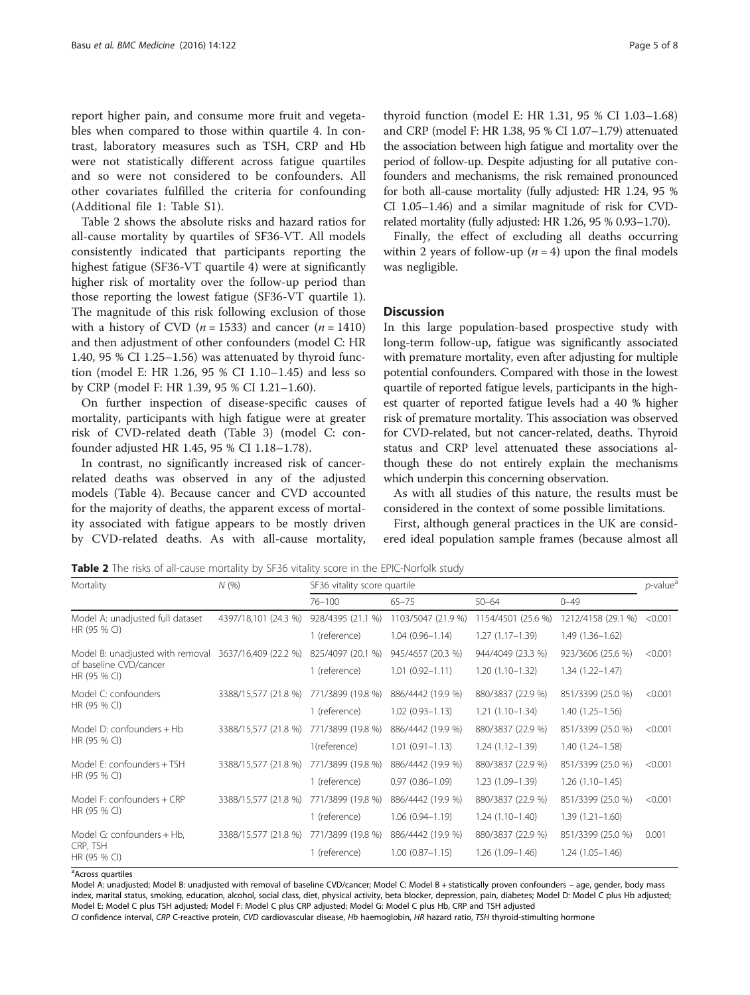report higher pain, and consume more fruit and vegetables when compared to those within quartile 4. In contrast, laboratory measures such as TSH, CRP and Hb were not statistically different across fatigue quartiles and so were not considered to be confounders. All other covariates fulfilled the criteria for confounding (Additional file [1:](#page-7-0) Table S1).

Table 2 shows the absolute risks and hazard ratios for all-cause mortality by quartiles of SF36-VT. All models consistently indicated that participants reporting the highest fatigue (SF36-VT quartile 4) were at significantly higher risk of mortality over the follow-up period than those reporting the lowest fatigue (SF36-VT quartile 1). The magnitude of this risk following exclusion of those with a history of CVD ( $n = 1533$ ) and cancer ( $n = 1410$ ) and then adjustment of other confounders (model C: HR 1.40, 95 % CI 1.25–1.56) was attenuated by thyroid function (model E: HR 1.26, 95 % CI 1.10–1.45) and less so by CRP (model F: HR 1.39, 95 % CI 1.21–1.60).

On further inspection of disease-specific causes of mortality, participants with high fatigue were at greater risk of CVD-related death (Table [3\)](#page-5-0) (model C: confounder adjusted HR 1.45, 95 % CI 1.18–1.78).

In contrast, no significantly increased risk of cancerrelated deaths was observed in any of the adjusted models (Table [4](#page-5-0)). Because cancer and CVD accounted for the majority of deaths, the apparent excess of mortality associated with fatigue appears to be mostly driven by CVD-related deaths. As with all-cause mortality, thyroid function (model E: HR 1.31, 95 % CI 1.03–1.68) and CRP (model F: HR 1.38, 95 % CI 1.07–1.79) attenuated the association between high fatigue and mortality over the period of follow-up. Despite adjusting for all putative confounders and mechanisms, the risk remained pronounced for both all-cause mortality (fully adjusted: HR 1.24, 95 % CI 1.05–1.46) and a similar magnitude of risk for CVDrelated mortality (fully adjusted: HR 1.26, 95 % 0.93–1.70).

Finally, the effect of excluding all deaths occurring within 2 years of follow-up ( $n = 4$ ) upon the final models was negligible.

#### **Discussion**

In this large population-based prospective study with long-term follow-up, fatigue was significantly associated with premature mortality, even after adjusting for multiple potential confounders. Compared with those in the lowest quartile of reported fatigue levels, participants in the highest quarter of reported fatigue levels had a 40 % higher risk of premature mortality. This association was observed for CVD-related, but not cancer-related, deaths. Thyroid status and CRP level attenuated these associations although these do not entirely explain the mechanisms which underpin this concerning observation.

As with all studies of this nature, the results must be considered in the context of some possible limitations.

First, although general practices in the UK are considered ideal population sample frames (because almost all

Table 2 The risks of all-cause mortality by SF36 vitality score in the EPIC-Norfolk study

| Mortality                                                                  | N(%                  | SF36 vitality score quartile |                     |                     |                     |         |
|----------------------------------------------------------------------------|----------------------|------------------------------|---------------------|---------------------|---------------------|---------|
|                                                                            |                      | $76 - 100$                   | $65 - 75$           | $50 - 64$           | $0 - 49$            |         |
| Model A: unadjusted full dataset<br>HR (95 % CI)                           | 4397/18,101 (24.3 %) | 928/4395 (21.1 %)            | 1103/5047 (21.9 %)  | 1154/4501 (25.6 %)  | 1212/4158 (29.1 %)  | < 0.001 |
|                                                                            |                      | 1 (reference)                | $1.04(0.96 - 1.14)$ | $1.27(1.17-1.39)$   | $1.49(1.36 - 1.62)$ |         |
| Model B: unadjusted with removal<br>of baseline CVD/cancer<br>HR (95 % CI) | 3637/16,409 (22.2 %) | 825/4097 (20.1 %)            | 945/4657 (20.3 %)   | 944/4049 (23.3 %)   | 923/3606 (25.6 %)   | < 0.001 |
|                                                                            |                      | 1 (reference)                | $1.01(0.92 - 1.11)$ | $1.20(1.10-1.32)$   | $1.34(1.22 - 1.47)$ |         |
| Model C: confounders<br>HR (95 % CI)                                       | 3388/15,577 (21.8 %) | 771/3899 (19.8 %)            | 886/4442 (19.9 %)   | 880/3837 (22.9 %)   | 851/3399 (25.0 %)   | < 0.001 |
|                                                                            |                      | 1 (reference)                | $1.02(0.93 - 1.13)$ | $1.21(1.10-1.34)$   | $1.40(1.25 - 1.56)$ |         |
| Model D: confounders + Hb<br>HR (95 % CI)                                  | 3388/15,577 (21.8 %) | 771/3899 (19.8 %)            | 886/4442 (19.9 %)   | 880/3837 (22.9 %)   | 851/3399 (25.0 %)   | < 0.001 |
|                                                                            |                      | 1(reference)                 | $1.01(0.91 - 1.13)$ | $1.24(1.12 - 1.39)$ | $1.40(1.24 - 1.58)$ |         |
| Model F: confounders + TSH<br>HR (95 % CI)                                 | 3388/15,577 (21.8 %) | 771/3899 (19.8 %)            | 886/4442 (19.9 %)   | 880/3837 (22.9 %)   | 851/3399 (25.0 %)   | < 0.001 |
|                                                                            |                      | 1 (reference)                | $0.97(0.86 - 1.09)$ | 1.23 (1.09-1.39)    | $1.26(1.10-1.45)$   |         |
| Model F: confounders + CRP<br>HR (95 % CI)                                 | 3388/15,577 (21.8 %) | 771/3899 (19.8 %)            | 886/4442 (19.9 %)   | 880/3837 (22.9 %)   | 851/3399 (25.0 %)   | < 0.001 |
|                                                                            |                      | 1 (reference)                | $1.06(0.94 - 1.19)$ | $1.24(1.10-1.40)$   | $1.39(1.21 - 1.60)$ |         |
| Model G: confounders + Hb,<br>CRP, TSH<br>HR (95 % CI)                     | 3388/15,577 (21.8 %) | 771/3899 (19.8 %)            | 886/4442 (19.9 %)   | 880/3837 (22.9 %)   | 851/3399 (25.0 %)   | 0.001   |
|                                                                            |                      | 1 (reference)                | $1.00(0.87 - 1.15)$ | $1.26(1.09 - 1.46)$ | $1.24(1.05 - 1.46)$ |         |

<sup>a</sup>Across quartiles

Model A: unadjusted; Model B: unadjusted with removal of baseline CVD/cancer; Model C: Model B + statistically proven confounders – age, gender, body mass index, marital status, smoking, education, alcohol, social class, diet, physical activity, beta blocker, depression, pain, diabetes; Model D: Model C plus Hb adjusted; Model E: Model C plus TSH adjusted; Model F: Model C plus CRP adjusted; Model G: Model C plus Hb, CRP and TSH adjusted

CI confidence interval, CRP C-reactive protein, CVD cardiovascular disease, Hb haemoglobin, HR hazard ratio, TSH thyroid-stimulting hormone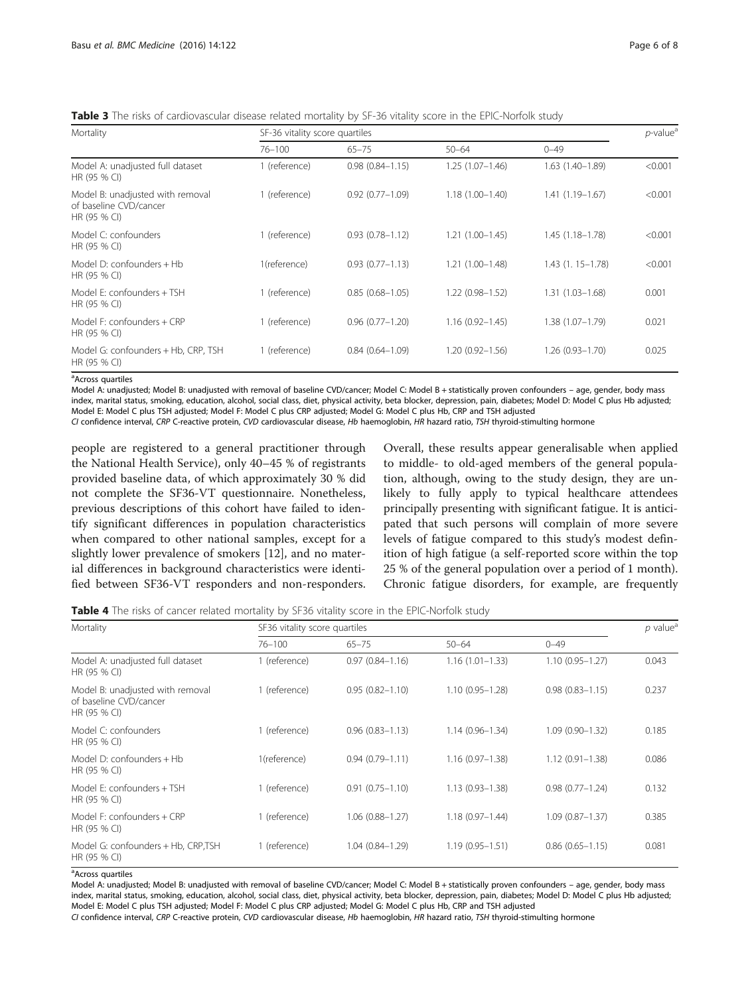<span id="page-5-0"></span>Table 3 The risks of cardiovascular disease related mortality by SF-36 vitality score in the EPIC-Norfolk study

| Mortality                                                                  | SF-36 vitality score quartiles |                     |                     |                     |         |  |
|----------------------------------------------------------------------------|--------------------------------|---------------------|---------------------|---------------------|---------|--|
|                                                                            | $76 - 100$                     | $65 - 75$           | $50 - 64$           | $0 - 49$            |         |  |
| Model A: unadjusted full dataset<br>HR (95 % CI)                           | 1 (reference)                  | $0.98(0.84 - 1.15)$ | $1.25(1.07-1.46)$   | $1.63(1.40-1.89)$   | < 0.001 |  |
| Model B: unadjusted with removal<br>of baseline CVD/cancer<br>HR (95 % CI) | 1 (reference)                  | $0.92(0.77 - 1.09)$ | $1.18(1.00 - 1.40)$ | $1.41(1.19 - 1.67)$ | < 0.001 |  |
| Model C: confounders<br>HR (95 % CI)                                       | 1 (reference)                  | $0.93(0.78 - 1.12)$ | $1.21(1.00-1.45)$   | $1.45(1.18 - 1.78)$ | < 0.001 |  |
| Model D: confounders + Hb<br>HR (95 % CI)                                  | 1(reference)                   | $0.93(0.77 - 1.13)$ | $1.21(1.00-1.48)$   | $1.43(1.15 - 1.78)$ | < 0.001 |  |
| Model E: confounders + TSH<br>HR (95 % CI)                                 | 1 (reference)                  | $0.85(0.68 - 1.05)$ | $1.22(0.98 - 1.52)$ | $1.31(1.03 - 1.68)$ | 0.001   |  |
| Model F: confounders + CRP<br>HR (95 % CI)                                 | 1 (reference)                  | $0.96(0.77 - 1.20)$ | $1.16(0.92 - 1.45)$ | 1.38 (1.07-1.79)    | 0.021   |  |
| Model G: confounders + Hb, CRP, TSH<br>HR (95 % CI)                        | 1 (reference)                  | $0.84(0.64 - 1.09)$ | 1.20 (0.92-1.56)    | $1.26(0.93 - 1.70)$ | 0.025   |  |

<sup>a</sup>Across quartiles

Model A: unadjusted; Model B: unadjusted with removal of baseline CVD/cancer; Model C: Model B + statistically proven confounders – age, gender, body mass index, marital status, smoking, education, alcohol, social class, diet, physical activity, beta blocker, depression, pain, diabetes; Model D: Model C plus Hb adjusted; Model E: Model C plus TSH adjusted; Model F: Model C plus CRP adjusted; Model G: Model C plus Hb, CRP and TSH adjusted

CI confidence interval, CRP C-reactive protein, CVD cardiovascular disease, Hb haemoglobin, HR hazard ratio, TSH thyroid-stimulting hormone

people are registered to a general practitioner through the National Health Service), only 40–45 % of registrants provided baseline data, of which approximately 30 % did not complete the SF36-VT questionnaire. Nonetheless, previous descriptions of this cohort have failed to identify significant differences in population characteristics when compared to other national samples, except for a slightly lower prevalence of smokers [[12\]](#page-7-0), and no material differences in background characteristics were identified between SF36-VT responders and non-responders.

Overall, these results appear generalisable when applied to middle- to old-aged members of the general population, although, owing to the study design, they are unlikely to fully apply to typical healthcare attendees principally presenting with significant fatigue. It is anticipated that such persons will complain of more severe levels of fatigue compared to this study's modest definition of high fatigue (a self-reported score within the top 25 % of the general population over a period of 1 month). Chronic fatigue disorders, for example, are frequently

Table 4 The risks of cancer related mortality by SF36 vitality score in the EPIC-Norfolk study

| Mortality                                                                  | SF36 vitality score quartiles |                     |                     |                     |       |  |
|----------------------------------------------------------------------------|-------------------------------|---------------------|---------------------|---------------------|-------|--|
|                                                                            | $76 - 100$                    | $65 - 75$           | $50 - 64$           | $0 - 49$            |       |  |
| Model A: unadjusted full dataset<br>HR (95 % CI)                           | 1 (reference)                 | $0.97(0.84 - 1.16)$ | $1.16(1.01 - 1.33)$ | $1.10(0.95 - 1.27)$ | 0.043 |  |
| Model B: unadjusted with removal<br>of baseline CVD/cancer<br>HR (95 % CI) | 1 (reference)                 | $0.95(0.82 - 1.10)$ | $1.10(0.95 - 1.28)$ | $0.98(0.83 - 1.15)$ | 0.237 |  |
| Model C: confounders<br>HR (95 % CI)                                       | 1 (reference)                 | $0.96(0.83 - 1.13)$ | $1.14(0.96 - 1.34)$ | $1.09(0.90 - 1.32)$ | 0.185 |  |
| Model D: confounders $+$ Hb<br>HR (95 % CI)                                | 1(reference)                  | $0.94(0.79 - 1.11)$ | $1.16(0.97 - 1.38)$ | $1.12(0.91 - 1.38)$ | 0.086 |  |
| Model E: confounders + TSH<br>HR (95 % CI)                                 | 1 (reference)                 | $0.91(0.75 - 1.10)$ | $1.13(0.93 - 1.38)$ | $0.98(0.77 - 1.24)$ | 0.132 |  |
| Model $F:$ confounders $+$ CRP<br>HR (95 % CI)                             | 1 (reference)                 | $1.06(0.88 - 1.27)$ | $1.18(0.97 - 1.44)$ | $1.09(0.87 - 1.37)$ | 0.385 |  |
| Model G: confounders + Hb, CRP, TSH<br>HR (95 % CI)                        | 1 (reference)                 | $1.04(0.84 - 1.29)$ | $1.19(0.95 - 1.51)$ | $0.86(0.65 - 1.15)$ | 0.081 |  |

<sup>a</sup>Across quartiles

Model A: unadjusted; Model B: unadjusted with removal of baseline CVD/cancer; Model C: Model B + statistically proven confounders – age, gender, body mass index, marital status, smoking, education, alcohol, social class, diet, physical activity, beta blocker, depression, pain, diabetes; Model D: Model C plus Hb adjusted; Model E: Model C plus TSH adjusted; Model F: Model C plus CRP adjusted; Model G: Model C plus Hb, CRP and TSH adjusted

CI confidence interval, CRP C-reactive protein, CVD cardiovascular disease, Hb haemoglobin, HR hazard ratio, TSH thyroid-stimulting hormone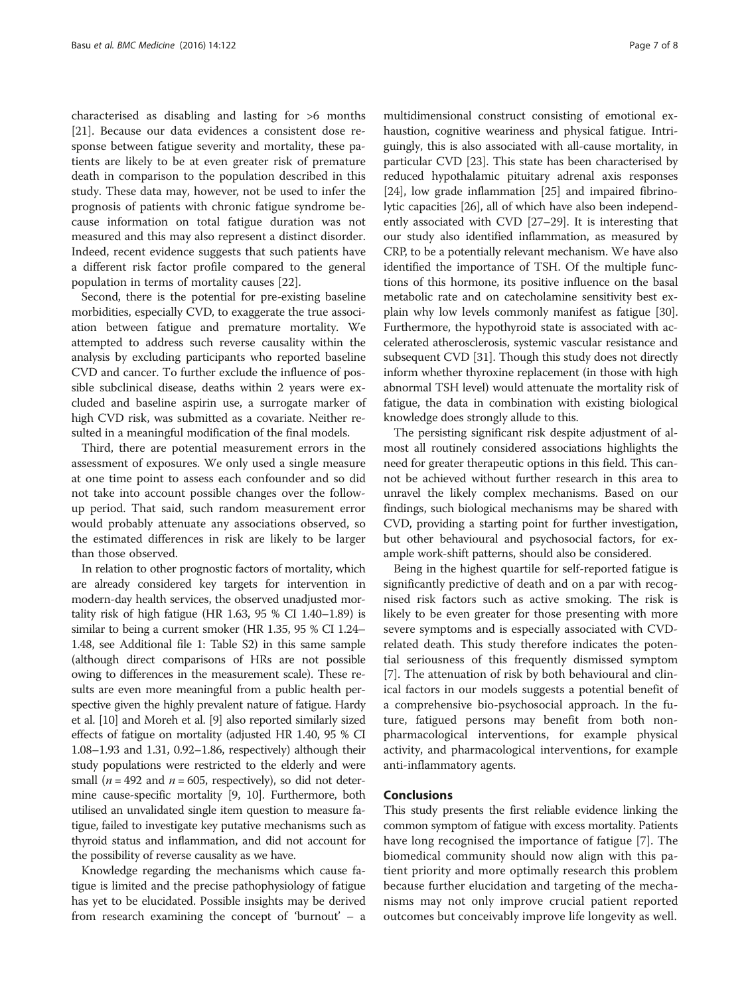characterised as disabling and lasting for >6 months [[21\]](#page-7-0). Because our data evidences a consistent dose response between fatigue severity and mortality, these patients are likely to be at even greater risk of premature death in comparison to the population described in this study. These data may, however, not be used to infer the prognosis of patients with chronic fatigue syndrome because information on total fatigue duration was not measured and this may also represent a distinct disorder. Indeed, recent evidence suggests that such patients have a different risk factor profile compared to the general population in terms of mortality causes [\[22\]](#page-7-0).

Second, there is the potential for pre-existing baseline morbidities, especially CVD, to exaggerate the true association between fatigue and premature mortality. We attempted to address such reverse causality within the analysis by excluding participants who reported baseline CVD and cancer. To further exclude the influence of possible subclinical disease, deaths within 2 years were excluded and baseline aspirin use, a surrogate marker of high CVD risk, was submitted as a covariate. Neither resulted in a meaningful modification of the final models.

Third, there are potential measurement errors in the assessment of exposures. We only used a single measure at one time point to assess each confounder and so did not take into account possible changes over the followup period. That said, such random measurement error would probably attenuate any associations observed, so the estimated differences in risk are likely to be larger than those observed.

In relation to other prognostic factors of mortality, which are already considered key targets for intervention in modern-day health services, the observed unadjusted mortality risk of high fatigue (HR 1.63, 95 % CI 1.40–1.89) is similar to being a current smoker (HR 1.35, 95 % CI 1.24– 1.48, see Additional file [1](#page-7-0): Table S2) in this same sample (although direct comparisons of HRs are not possible owing to differences in the measurement scale). These results are even more meaningful from a public health perspective given the highly prevalent nature of fatigue. Hardy et al. [[10](#page-7-0)] and Moreh et al. [\[9\]](#page-7-0) also reported similarly sized effects of fatigue on mortality (adjusted HR 1.40, 95 % CI 1.08–1.93 and 1.31, 0.92–1.86, respectively) although their study populations were restricted to the elderly and were small ( $n = 492$  and  $n = 605$ , respectively), so did not determine cause-specific mortality [\[9, 10](#page-7-0)]. Furthermore, both utilised an unvalidated single item question to measure fatigue, failed to investigate key putative mechanisms such as thyroid status and inflammation, and did not account for the possibility of reverse causality as we have.

Knowledge regarding the mechanisms which cause fatigue is limited and the precise pathophysiology of fatigue has yet to be elucidated. Possible insights may be derived from research examining the concept of 'burnout' – a

multidimensional construct consisting of emotional exhaustion, cognitive weariness and physical fatigue. Intriguingly, this is also associated with all-cause mortality, in particular CVD [\[23](#page-7-0)]. This state has been characterised by reduced hypothalamic pituitary adrenal axis responses [[24](#page-7-0)], low grade inflammation [[25](#page-7-0)] and impaired fibrinolytic capacities [[26](#page-7-0)], all of which have also been independently associated with CVD [[27](#page-7-0)–[29\]](#page-7-0). It is interesting that our study also identified inflammation, as measured by CRP, to be a potentially relevant mechanism. We have also identified the importance of TSH. Of the multiple functions of this hormone, its positive influence on the basal metabolic rate and on catecholamine sensitivity best explain why low levels commonly manifest as fatigue [[30](#page-7-0)]. Furthermore, the hypothyroid state is associated with accelerated atherosclerosis, systemic vascular resistance and subsequent CVD [[31](#page-7-0)]. Though this study does not directly inform whether thyroxine replacement (in those with high abnormal TSH level) would attenuate the mortality risk of fatigue, the data in combination with existing biological knowledge does strongly allude to this.

The persisting significant risk despite adjustment of almost all routinely considered associations highlights the need for greater therapeutic options in this field. This cannot be achieved without further research in this area to unravel the likely complex mechanisms. Based on our findings, such biological mechanisms may be shared with CVD, providing a starting point for further investigation, but other behavioural and psychosocial factors, for example work-shift patterns, should also be considered.

Being in the highest quartile for self-reported fatigue is significantly predictive of death and on a par with recognised risk factors such as active smoking. The risk is likely to be even greater for those presenting with more severe symptoms and is especially associated with CVDrelated death. This study therefore indicates the potential seriousness of this frequently dismissed symptom [[7\]](#page-7-0). The attenuation of risk by both behavioural and clinical factors in our models suggests a potential benefit of a comprehensive bio-psychosocial approach. In the future, fatigued persons may benefit from both nonpharmacological interventions, for example physical activity, and pharmacological interventions, for example anti-inflammatory agents.

#### Conclusions

This study presents the first reliable evidence linking the common symptom of fatigue with excess mortality. Patients have long recognised the importance of fatigue [[7\]](#page-7-0). The biomedical community should now align with this patient priority and more optimally research this problem because further elucidation and targeting of the mechanisms may not only improve crucial patient reported outcomes but conceivably improve life longevity as well.